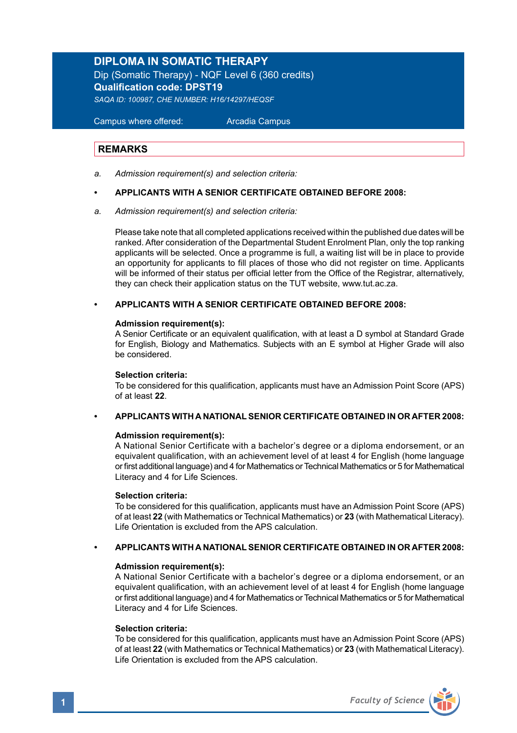# **DIPLOMA IN SOMATIC THERAPY**

Dip (Somatic Therapy) - NQF Level 6 (360 credits) **Qualification code: DPST19**  *SAQA ID: 100987, CHE NUMBER: H16/14297/HEQSF*

 Campus where offered: Arcadia Campus

### **REMARKS**

*a. Admission requirement(s) and selection criteria:* 

#### **• APPLICANTS WITH A SENIOR CERTIFICATE OBTAINED BEFORE 2008:**

*a. Admission requirement(s) and selection criteria:* 

Please take note that all completed applications received within the published due dates will be ranked. After consideration of the Departmental Student Enrolment Plan, only the top ranking applicants will be selected. Once a programme is full, a waiting list will be in place to provide an opportunity for applicants to fill places of those who did not register on time. Applicants will be informed of their status per official letter from the Office of the Registrar, alternatively, they can check their application status on the TUT website, www.tut.ac.za.

#### **• APPLICANTS WITH A SENIOR CERTIFICATE OBTAINED BEFORE 2008:**

#### **Admission requirement(s):**

A Senior Certificate or an equivalent qualification, with at least a D symbol at Standard Grade for English, Biology and Mathematics. Subjects with an E symbol at Higher Grade will also be considered.

#### **Selection criteria:**

To be considered for this qualification, applicants must have an Admission Point Score (APS) of at least **22**.

# **• APPLICANTS WITH A NATIONAL SENIOR CERTIFICATE OBTAINED IN OR AFTER 2008:**

#### **Admission requirement(s):**

 A National Senior Certificate with a bachelor's degree or a diploma endorsement, or an equivalent qualification, with an achievement level of at least 4 for English (home language or first additional language) and 4 for Mathematics or Technical Mathematics or 5 for Mathematical Literacy and 4 for Life Sciences.

#### **Selection criteria:**

To be considered for this qualification, applicants must have an Admission Point Score (APS) of at least **22** (with Mathematics or Technical Mathematics) or **23** (with Mathematical Literacy). Life Orientation is excluded from the APS calculation.

### **• APPLICANTS WITH A NATIONAL SENIOR CERTIFICATE OBTAINED IN OR AFTER 2008:**

#### **Admission requirement(s):**

 A National Senior Certificate with a bachelor's degree or a diploma endorsement, or an equivalent qualification, with an achievement level of at least 4 for English (home language or first additional language) and 4 for Mathematics or Technical Mathematics or 5 for Mathematical Literacy and 4 for Life Sciences.

#### **Selection criteria:**

To be considered for this qualification, applicants must have an Admission Point Score (APS) of at least **22** (with Mathematics or Technical Mathematics) or **23** (with Mathematical Literacy). Life Orientation is excluded from the APS calculation.

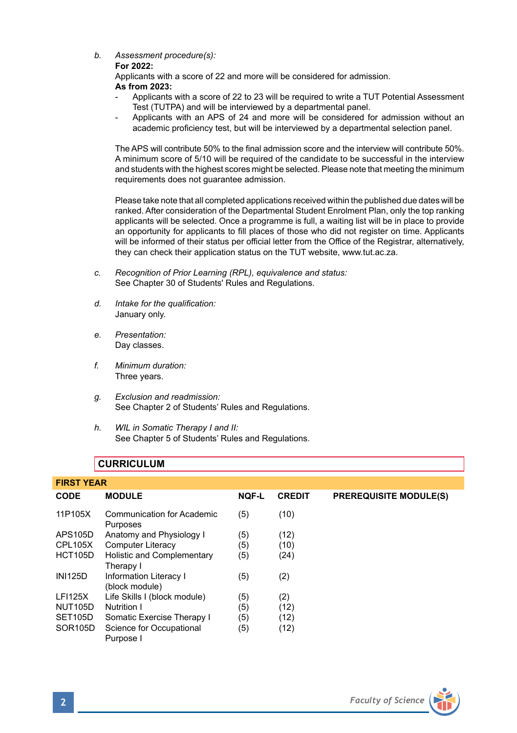*b. Assessment procedure(s):* 

### **For 2022:**

Applicants with a score of 22 and more will be considered for admission. **As from 2023:** 

- Applicants with a score of 22 to 23 will be required to write a TUT Potential Assessment Test (TUTPA) and will be interviewed by a departmental panel.
- Applicants with an APS of 24 and more will be considered for admission without an academic proficiency test, but will be interviewed by a departmental selection panel.

The APS will contribute 50% to the final admission score and the interview will contribute 50%. A minimum score of 5/10 will be required of the candidate to be successful in the interview and students with the highest scores might be selected. Please note that meeting the minimum requirements does not guarantee admission.

Please take note that all completed applications received within the published due dates will be ranked. After consideration of the Departmental Student Enrolment Plan, only the top ranking applicants will be selected. Once a programme is full, a waiting list will be in place to provide an opportunity for applicants to fill places of those who did not register on time. Applicants will be informed of their status per official letter from the Office of the Registrar, alternatively, they can check their application status on the TUT website, www.tut.ac.za.

- *c. Recognition of Prior Learning (RPL), equivalence and status:* See Chapter 30 of Students' Rules and Regulations.
- *d. Intake for the qualification:* January only.
- *e. Presentation:* Day classes.
- *f. Minimum duration:* Three years.
- *g. Exclusion and readmission:* See Chapter 2 of Students' Rules and Regulations.
- *h. WIL in Somatic Therapy I and II:*  See Chapter 5 of Students' Rules and Regulations.

# **CURRICULUM**

| <b>FIRST YEAR</b>    |                                                 |              |               |                               |
|----------------------|-------------------------------------------------|--------------|---------------|-------------------------------|
| <b>CODE</b>          | <b>MODULE</b>                                   | <b>NQF-L</b> | <b>CREDIT</b> | <b>PREREQUISITE MODULE(S)</b> |
| 11P105X              | Communication for Academic<br>Purposes          | (5)          | (10)          |                               |
| APS105D              | Anatomy and Physiology I                        | (5)          | (12)          |                               |
| CPL105X              | <b>Computer Literacy</b>                        | (5)          | (10)          |                               |
| HCT105D              | Holistic and Complementary<br>Therapy I         | (5)          | (24)          |                               |
| <b>INI125D</b>       | <b>Information Literacy I</b><br>(block module) | (5)          | (2)           |                               |
| <b>LFI125X</b>       | Life Skills I (block module)                    | (5)          | (2)           |                               |
| <b>NUT105D</b>       | Nutrition I                                     | (5)          | (12)          |                               |
| SET105D              | Somatic Exercise Therapy I                      | (5)          | (12)          |                               |
| SOR <sub>105</sub> D | Science for Occupational<br>Purpose I           | (5)          | (12)          |                               |

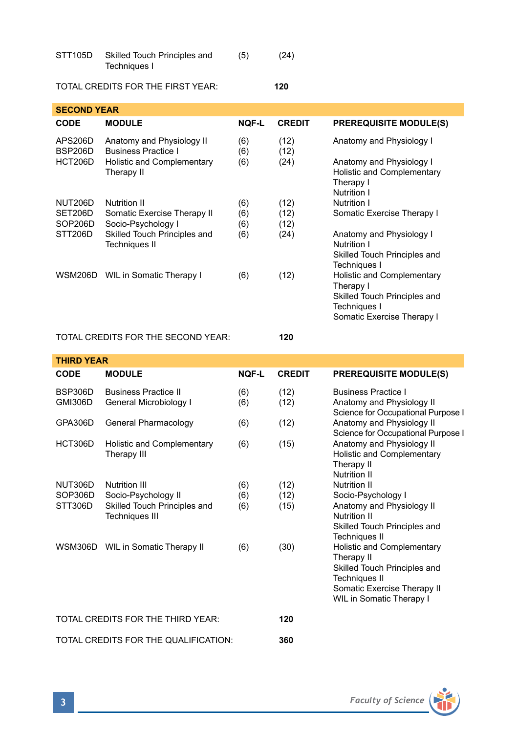| STT <sub>105</sub> D | Skilled Touch Principles and | (5) | (24) |  |
|----------------------|------------------------------|-----|------|--|
|                      | Techniques I                 |     |      |  |

# TOTAL CREDITS FOR THE FIRST YEAR: **120**

| <b>SECOND YEAR</b> |                                                         |              |               |                                                                                                                              |  |
|--------------------|---------------------------------------------------------|--------------|---------------|------------------------------------------------------------------------------------------------------------------------------|--|
| CODE               | <b>MODULE</b>                                           | <b>NOF-L</b> | <b>CREDIT</b> | <b>PREREQUISITE MODULE(S)</b>                                                                                                |  |
| APS206D<br>BSP206D | Anatomy and Physiology II<br><b>Business Practice I</b> | (6)<br>(6)   | (12)<br>(12)  | Anatomy and Physiology I                                                                                                     |  |
| HCT206D            | Holistic and Complementary<br>Therapy II                | (6)          | (24)          | Anatomy and Physiology I<br>Holistic and Complementary<br>Therapy I<br>Nutrition I                                           |  |
| <b>NUT206D</b>     | Nutrition II                                            | (6)          | (12)          | Nutrition I                                                                                                                  |  |
| SET206D<br>SOP206D | Somatic Exercise Therapy II<br>Socio-Psychology I       | (6)<br>(6)   | (12)<br>(12)  | Somatic Exercise Therapy I                                                                                                   |  |
| STT206D            | Skilled Touch Principles and<br>Techniques II           | (6)          | (24)          | Anatomy and Physiology I<br>Nutrition I<br>Skilled Touch Principles and<br>Techniques I                                      |  |
|                    | WSM206D WIL in Somatic Therapy I                        | (6)          | (12)          | Holistic and Complementary<br>Therapy I<br>Skilled Touch Principles and<br><b>Techniques I</b><br>Somatic Exercise Therapy I |  |

# TOTAL CREDITS FOR THE SECOND YEAR: **120**

| <b>THIRD YEAR</b>                    |                                                       |            |               |                                                                                                                                                             |  |
|--------------------------------------|-------------------------------------------------------|------------|---------------|-------------------------------------------------------------------------------------------------------------------------------------------------------------|--|
| <b>CODE</b>                          | <b>MODULE</b>                                         | NOF-L      | <b>CREDIT</b> | <b>PREREQUISITE MODULE(S)</b>                                                                                                                               |  |
| BSP306D<br>GMI306D                   | <b>Business Practice II</b><br>General Microbiology I | (6)<br>(6) | (12)<br>(12)  | <b>Business Practice I</b><br>Anatomy and Physiology II<br>Science for Occupational Purpose I                                                               |  |
| GPA306D                              | General Pharmacology                                  | (6)        | (12)          | Anatomy and Physiology II<br>Science for Occupational Purpose I                                                                                             |  |
| HCT306D                              | Holistic and Complementary<br>Therapy III             | (6)        | (15)          | Anatomy and Physiology II<br>Holistic and Complementary<br>Therapy II<br>Nutrition II                                                                       |  |
| NUT306D                              | Nutrition III                                         | (6)        | (12)          | <b>Nutrition II</b>                                                                                                                                         |  |
| SOP306D                              | Socio-Psychology II                                   | (6)        | (12)          | Socio-Psychology I                                                                                                                                          |  |
| STT306D                              | Skilled Touch Principles and<br><b>Techniques III</b> | (6)        | (15)          | Anatomy and Physiology II<br>Nutrition II<br>Skilled Touch Principles and<br>Techniques II                                                                  |  |
|                                      | WSM306D WIL in Somatic Therapy II                     | (6)        | (30)          | Holistic and Complementary<br>Therapy II<br>Skilled Touch Principles and<br><b>Techniques II</b><br>Somatic Exercise Therapy II<br>WIL in Somatic Therapy I |  |
| TOTAL CREDITS FOR THE THIRD YEAR:    |                                                       |            | 120           |                                                                                                                                                             |  |
| TOTAL CREDITS FOR THE QUALIFICATION: |                                                       |            | 360           |                                                                                                                                                             |  |

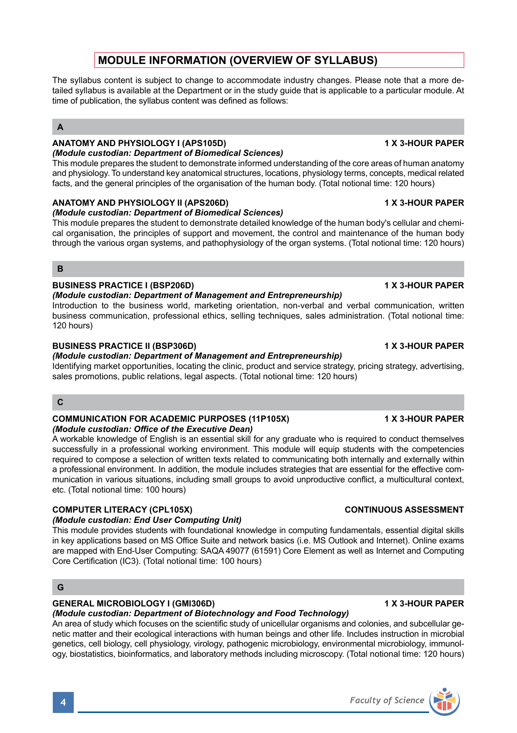# **MODULE INFORMATION (OVERVIEW OF SYLLABUS)**

The syllabus content is subject to change to accommodate industry changes. Please note that a more detailed syllabus is available at the Department or in the study guide that is applicable to a particular module. At time of publication, the syllabus content was defined as follows:

# **A**

# **ANATOMY AND PHYSIOLOGY I (APS105D) 1 X 3-HOUR PAPER**

# *(Module custodian: Department of Biomedical Sciences)*

This module prepares the student to demonstrate informed understanding of the core areas of human anatomy and physiology. To understand key anatomical structures, locations, physiology terms, concepts, medical related facts, and the general principles of the organisation of the human body. (Total notional time: 120 hours)

# **ANATOMY AND PHYSIOLOGY II (APS206D) 1 X 3-HOUR PAPER**

# *(Module custodian: Department of Biomedical Sciences)*

This module prepares the student to demonstrate detailed knowledge of the human body's cellular and chemical organisation, the principles of support and movement, the control and maintenance of the human body through the various organ systems, and pathophysiology of the organ systems. (Total notional time: 120 hours)

# **B**

# **BUSINESS PRACTICE I (BSP206D) 1 X 3-HOUR PAPER**

# *(Module custodian: Department of Management and Entrepreneurship)*

Introduction to the business world, marketing orientation, non-verbal and verbal communication, written business communication, professional ethics, selling techniques, sales administration. (Total notional time: 120 hours)

# **BUSINESS PRACTICE II (BSP306D) 1 X 3-HOUR PAPER**

# *(Module custodian: Department of Management and Entrepreneurship)*

Identifying market opportunities, locating the clinic, product and service strategy, pricing strategy, advertising, sales promotions, public relations, legal aspects. (Total notional time: 120 hours)

# **C**

### **COMMUNICATION FOR ACADEMIC PURPOSES (11P105X) 1 X 3-HOUR PAPER** *(Module custodian: Office of the Executive Dean)*

A workable knowledge of English is an essential skill for any graduate who is required to conduct themselves successfully in a professional working environment. This module will equip students with the competencies required to compose a selection of written texts related to communicating both internally and externally within a professional environment. In addition, the module includes strategies that are essential for the effective communication in various situations, including small groups to avoid unproductive conflict, a multicultural context, etc. (Total notional time: 100 hours)

# **COMPUTER LITERACY (CPL105X)** COMPUTER LITERACY (CPL105X)

# *(Module custodian: End User Computing Unit)*

This module provides students with foundational knowledge in computing fundamentals, essential digital skills in key applications based on MS Office Suite and network basics (i.e. MS Outlook and Internet). Online exams are mapped with End-User Computing: SAQA 49077 (61591) Core Element as well as Internet and Computing Core Certification (IC3). (Total notional time: 100 hours)

# **G**

### **GENERAL MICROBIOLOGY I (GMI306D) 1 X 3-HOUR PAPER**

# *(Module custodian: Department of Biotechnology and Food Technology)*

An area of study which focuses on the scientific study of unicellular organisms and colonies, and subcellular genetic matter and their ecological interactions with human beings and other life. Includes instruction in microbial genetics, cell biology, cell physiology, virology, pathogenic microbiology, environmental microbiology, immunology, biostatistics, bioinformatics, and laboratory methods including microscopy. (Total notional time: 120 hours)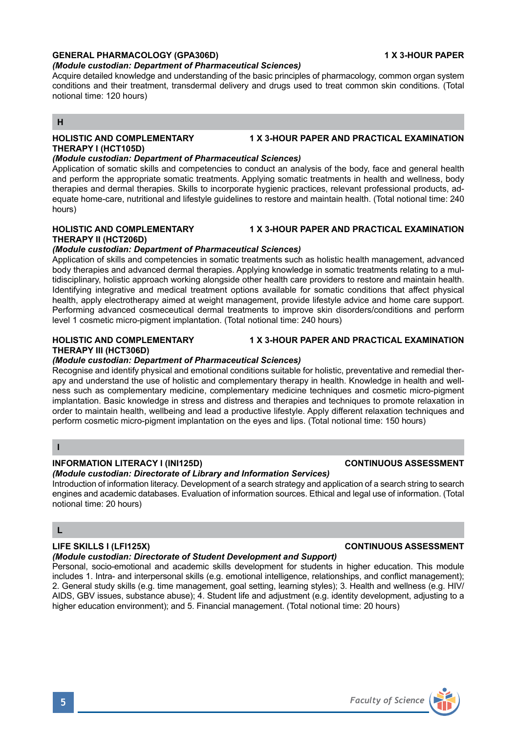# **GENERAL PHARMACOLOGY (GPA306D) 1 X 3-HOUR PAPER**

# *(Module custodian: Department of Pharmaceutical Sciences)*

Acquire detailed knowledge and understanding of the basic principles of pharmacology, common organ system conditions and their treatment, transdermal delivery and drugs used to treat common skin conditions. (Total notional time: 120 hours)

# **H**

#### **HOLISTIC AND COMPLEMENTARY 1 X 3-HOUR PAPER AND PRACTICAL EXAMINATION THERAPY I (HCT105D)**

# *(Module custodian: Department of Pharmaceutical Sciences)*

Application of somatic skills and competencies to conduct an analysis of the body, face and general health and perform the appropriate somatic treatments. Applying somatic treatments in health and wellness, body therapies and dermal therapies. Skills to incorporate hygienic practices, relevant professional products, adequate home-care, nutritional and lifestyle guidelines to restore and maintain health. (Total notional time: 240 hours)

# **HOLISTIC AND COMPLEMENTARY 1 X 3-HOUR PAPER AND PRACTICAL EXAMINATION THERAPY II (HCT206D)**

# *(Module custodian: Department of Pharmaceutical Sciences)*

Application of skills and competencies in somatic treatments such as holistic health management, advanced body therapies and advanced dermal therapies. Applying knowledge in somatic treatments relating to a multidisciplinary, holistic approach working alongside other health care providers to restore and maintain health. Identifying integrative and medical treatment options available for somatic conditions that affect physical health, apply electrotherapy aimed at weight management, provide lifestyle advice and home care support. Performing advanced cosmeceutical dermal treatments to improve skin disorders/conditions and perform level 1 cosmetic micro-pigment implantation. (Total notional time: 240 hours)

# **THERAPY III (HCT306D)**

# *(Module custodian: Department of Pharmaceutical Sciences)*

Recognise and identify physical and emotional conditions suitable for holistic, preventative and remedial therapy and understand the use of holistic and complementary therapy in health. Knowledge in health and wellness such as complementary medicine, complementary medicine techniques and cosmetic micro-pigment implantation. Basic knowledge in stress and distress and therapies and techniques to promote relaxation in order to maintain health, wellbeing and lead a productive lifestyle. Apply different relaxation techniques and perform cosmetic micro-pigment implantation on the eyes and lips. (Total notional time: 150 hours)

# **I**

# **INFORMATION LITERACY I (INI125D) CONTINUOUS ASSESSMENT**

# *(Module custodian: Directorate of Library and Information Services)*

Introduction of information literacy. Development of a search strategy and application of a search string to search engines and academic databases. Evaluation of information sources. Ethical and legal use of information. (Total notional time: 20 hours)

# **L**

### *(Module custodian: Directorate of Student Development and Support)*

Personal, socio-emotional and academic skills development for students in higher education. This module includes 1. Intra- and interpersonal skills (e.g. emotional intelligence, relationships, and conflict management); 2. General study skills (e.g. time management, goal setting, learning styles); 3. Health and wellness (e.g. HIV/ AIDS, GBV issues, substance abuse); 4. Student life and adjustment (e.g. identity development, adjusting to a higher education environment); and 5. Financial management. (Total notional time: 20 hours)

### **HOLISTIC AND COMPLEMENTARY 1 X 3-HOUR PAPER AND PRACTICAL EXAMINATION**

# **LIFE SKILLS I (LFI125X) CONTINUOUS ASSESSMENT**

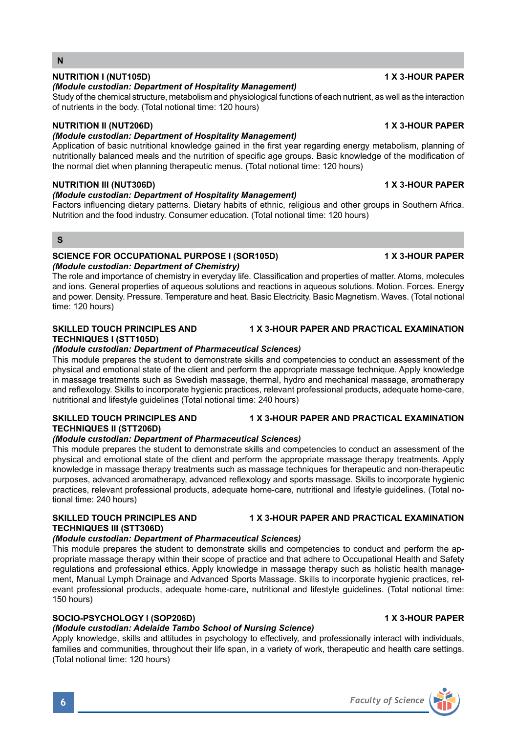# **NUTRITION I (NUT105D) 1 X 3-HOUR PAPER**

**N**

### *(Module custodian: Department of Hospitality Management)*

Study of the chemical structure, metabolism and physiological functions of each nutrient, as well as the interaction of nutrients in the body. (Total notional time: 120 hours)

# **NUTRITION II (NUT206D) 1 X 3-HOUR PAPER**

# *(Module custodian: Department of Hospitality Management)*

Application of basic nutritional knowledge gained in the first year regarding energy metabolism, planning of nutritionally balanced meals and the nutrition of specific age groups. Basic knowledge of the modification of the normal diet when planning therapeutic menus. (Total notional time: 120 hours)

### **NUTRITION III (NUT306D) 1 X 3-HOUR PAPER**

# *(Module custodian: Department of Hospitality Management)*

Factors influencing dietary patterns. Dietary habits of ethnic, religious and other groups in Southern Africa. Nutrition and the food industry. Consumer education. (Total notional time: 120 hours)

#### **S**

#### **SCIENCE FOR OCCUPATIONAL PURPOSE I (SOR105D) 4 X 3-HOUR PAPER** *(Module custodian: Department of Chemistry)*

The role and importance of chemistry in everyday life. Classification and properties of matter. Atoms, molecules and ions. General properties of aqueous solutions and reactions in aqueous solutions. Motion. Forces. Energy and power. Density. Pressure. Temperature and heat. Basic Electricity. Basic Magnetism. Waves. (Total notional time: 120 hours)

# **SKILLED TOUCH PRINCIPLES AND 1 X 3-HOUR PAPER AND PRACTICAL EXAMINATION TECHNIQUES I (STT105D)**

### *(Module custodian: Department of Pharmaceutical Sciences)*

This module prepares the student to demonstrate skills and competencies to conduct an assessment of the physical and emotional state of the client and perform the appropriate massage technique. Apply knowledge in massage treatments such as Swedish massage, thermal, hydro and mechanical massage, aromatherapy and reflexology. Skills to incorporate hygienic practices, relevant professional products, adequate home-care, nutritional and lifestyle guidelines (Total notional time: 240 hours)

### **SKILLED TOUCH PRINCIPLES AND 1 X 3-HOUR PAPER AND PRACTICAL EXAMINATION TECHNIQUES II (STT206D)**

### *(Module custodian: Department of Pharmaceutical Sciences)*

This module prepares the student to demonstrate skills and competencies to conduct an assessment of the physical and emotional state of the client and perform the appropriate massage therapy treatments. Apply knowledge in massage therapy treatments such as massage techniques for therapeutic and non-therapeutic purposes, advanced aromatherapy, advanced reflexology and sports massage. Skills to incorporate hygienic practices, relevant professional products, adequate home-care, nutritional and lifestyle guidelines. (Total notional time: 240 hours)

### **SKILLED TOUCH PRINCIPLES AND 1 X 3-HOUR PAPER AND PRACTICAL EXAMINATION TECHNIQUES III (STT306D)**

## *(Module custodian: Department of Pharmaceutical Sciences)*

This module prepares the student to demonstrate skills and competencies to conduct and perform the appropriate massage therapy within their scope of practice and that adhere to Occupational Health and Safety regulations and professional ethics. Apply knowledge in massage therapy such as holistic health management, Manual Lymph Drainage and Advanced Sports Massage. Skills to incorporate hygienic practices, relevant professional products, adequate home-care, nutritional and lifestyle guidelines. (Total notional time: 150 hours)

# **SOCIO-PSYCHOLOGY I (SOP206D) 1 X 3-HOUR PAPER**

# *(Module custodian: Adelaide Tambo School of Nursing Science)*

Apply knowledge, skills and attitudes in psychology to effectively, and professionally interact with individuals, families and communities, throughout their life span, in a variety of work, therapeutic and health care settings. (Total notional time: 120 hours)